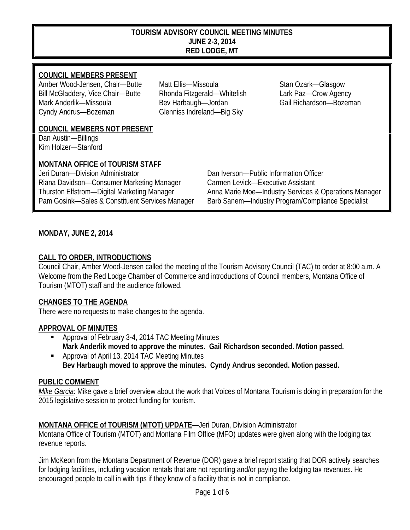#### **TOURISM ADVISORY COUNCIL MEETING MINUTES JUNE 2-3, 2014 RED LODGE, MT**

## **COUNCIL MEMBERS PRESENT**

Amber Wood-Jensen, Chair—Butte Matt Ellis—Missoula Stan Ozark—Glasgow Bill McGladdery, Vice Chair—Butte Rhonda Fitzgerald—Whitefish Lark Paz—Crow Agency Mark Anderlik—Missoula **Bev Harbaugh—Jordan** Gail Richardson—Bozeman Cyndy Andrus—Bozeman Glenniss Indreland—Big Sky

#### **COUNCIL MEMBERS NOT PRESENT**

Dan Austin—Billings Kim Holzer—Stanford

## **MONTANA OFFICE of TOURISM STAFF**

Jeri Duran—Division Administrator Dan Iverson—Public Information Officer Riana Davidson—Consumer Marketing Manager Carmen Levick—Executive Assistant

Thurston Elfstrom—Digital Marketing Manager Anna Marie Moe—Industry Services & Operations Manager Pam Gosink—Sales & Constituent Services Manager Barb Sanem—Industry Program/Compliance Specialist

## **MONDAY, JUNE 2, 2014**

### **CALL TO ORDER, INTRODUCTIONS**

Council Chair, Amber Wood-Jensen called the meeting of the Tourism Advisory Council (TAC) to order at 8:00 a.m. A Welcome from the Red Lodge Chamber of Commerce and introductions of Council members, Montana Office of Tourism (MTOT) staff and the audience followed.

#### **CHANGES TO THE AGENDA**

There were no requests to make changes to the agenda.

#### **APPROVAL OF MINUTES**

- Approval of February 3-4, 2014 TAC Meeting Minutes **Mark Anderlik moved to approve the minutes. Gail Richardson seconded. Motion passed.**
- Approval of April 13, 2014 TAC Meeting Minutes **Bev Harbaugh moved to approve the minutes. Cyndy Andrus seconded. Motion passed.**

#### **PUBLIC COMMENT**

*Mike Garcia*: Mike gave a brief overview about the work that Voices of Montana Tourism is doing in preparation for the 2015 legislative session to protect funding for tourism.

## **MONTANA OFFICE of TOURISM (MTOT) UPDATE**—Jeri Duran, Division Administrator

Montana Office of Tourism (MTOT) and Montana Film Office (MFO) updates were given along with the lodging tax revenue reports.

Jim McKeon from the Montana Department of Revenue (DOR) gave a brief report stating that DOR actively searches for lodging facilities, including vacation rentals that are not reporting and/or paying the lodging tax revenues. He encouraged people to call in with tips if they know of a facility that is not in compliance.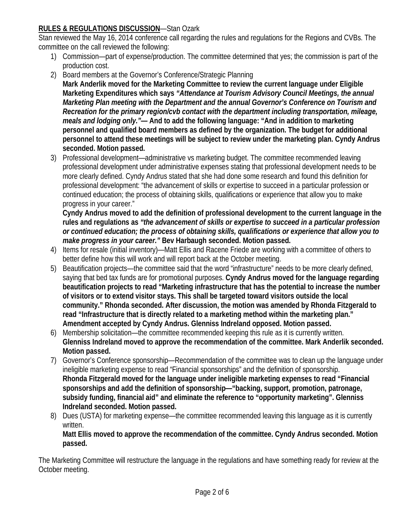# **RULES & REGULATIONS DISCUSSION**—Stan Ozark

Stan reviewed the May 16, 2014 conference call regarding the rules and regulations for the Regions and CVBs. The committee on the call reviewed the following:

- 1) Commission—part of expense/production. The committee determined that yes; the commission is part of the production cost.
- 2) Board members at the Governor's Conference/Strategic Planning
	- **Mark Anderlik moved for the Marketing Committee to review the current language under Eligible Marketing Expenditures which says** *"Attendance at Tourism Advisory Council Meetings, the annual Marketing Plan meeting with the Department and the annual Governor's Conference on Tourism and Recreation for the primary region/cvb contact with the department including transportation, mileage, meals and lodging only."—* **And to add the following language: "And in addition to marketing personnel and qualified board members as defined by the organization. The budget for additional personnel to attend these meetings will be subject to review under the marketing plan. Cyndy Andrus seconded. Motion passed.**
- 3) Professional development—administrative vs marketing budget. The committee recommended leaving professional development under administrative expenses stating that professional development needs to be more clearly defined. Cyndy Andrus stated that she had done some research and found this definition for professional development: "the advancement of skills or expertise to succeed in a particular profession or continued education; the process of obtaining skills, qualifications or experience that allow you to make progress in your career."

**Cyndy Andrus moved to add the definition of professional development to the current language in the rules and regulations as** *"the advancement of skills or expertise to succeed in a particular profession or continued education; the process of obtaining skills, qualifications or experience that allow you to make progress in your career."* **Bev Harbaugh seconded. Motion passed.**

- 4) Items for resale (initial inventory)—Matt Ellis and Racene Friede are working with a committee of others to better define how this will work and will report back at the October meeting.
- 5) Beautification projects—the committee said that the word "infrastructure" needs to be more clearly defined, saying that bed tax funds are for promotional purposes. **Cyndy Andrus moved for the language regarding beautification projects to read "Marketing infrastructure that has the potential to increase the number of visitors or to extend visitor stays. This shall be targeted toward visitors outside the local community." Rhonda seconded. After discussion, the motion was amended by Rhonda Fitzgerald to read "Infrastructure that is directly related to a marketing method within the marketing plan." Amendment accepted by Cyndy Andrus. Glenniss Indreland opposed. Motion passed.**
- 6) Membership solicitation—the committee recommended keeping this rule as it is currently written. **Glenniss Indreland moved to approve the recommendation of the committee. Mark Anderlik seconded. Motion passed.**
- 7) Governor's Conference sponsorship—Recommendation of the committee was to clean up the language under ineligible marketing expense to read "Financial sponsorships" and the definition of sponsorship. **Rhonda Fitzgerald moved for the language under ineligible marketing expenses to read "Financial sponsorships and add the definition of sponsorship—"backing, support, promotion, patronage, subsidy funding, financial aid" and eliminate the reference to "opportunity marketing". Glenniss Indreland seconded. Motion passed.**
- 8) Dues (USTA) for marketing expense—the committee recommended leaving this language as it is currently written. **Matt Ellis moved to approve the recommendation of the committee. Cyndy Andrus seconded. Motion**

**passed.** 

The Marketing Committee will restructure the language in the regulations and have something ready for review at the October meeting.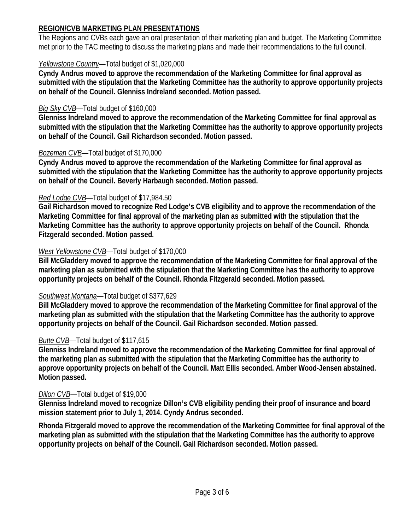## **REGION/CVB MARKETING PLAN PRESENTATIONS**

The Regions and CVBs each gave an oral presentation of their marketing plan and budget. The Marketing Committee met prior to the TAC meeting to discuss the marketing plans and made their recommendations to the full council.

## *Yellowstone Country*—Total budget of \$1,020,000

**Cyndy Andrus moved to approve the recommendation of the Marketing Committee for final approval as submitted with the stipulation that the Marketing Committee has the authority to approve opportunity projects on behalf of the Council. Glenniss Indreland seconded. Motion passed.**

### *Big Sky CVB*—Total budget of \$160,000

**Glenniss Indreland moved to approve the recommendation of the Marketing Committee for final approval as submitted with the stipulation that the Marketing Committee has the authority to approve opportunity projects on behalf of the Council. Gail Richardson seconded. Motion passed.**

### *Bozeman CVB*—Total budget of \$170,000

**Cyndy Andrus moved to approve the recommendation of the Marketing Committee for final approval as submitted with the stipulation that the Marketing Committee has the authority to approve opportunity projects on behalf of the Council. Beverly Harbaugh seconded. Motion passed.**

### *Red Lodge CVB*—Total budget of \$17,984.50

**Gail Richardson moved to recognize Red Lodge's CVB eligibility and to approve the recommendation of the Marketing Committee for final approval of the marketing plan as submitted with the stipulation that the Marketing Committee has the authority to approve opportunity projects on behalf of the Council. Rhonda Fitzgerald seconded. Motion passed.**

### *West Yellowstone CVB*—Total budget of \$170,000

**Bill McGladdery moved to approve the recommendation of the Marketing Committee for final approval of the marketing plan as submitted with the stipulation that the Marketing Committee has the authority to approve opportunity projects on behalf of the Council. Rhonda Fitzgerald seconded. Motion passed.**

## *Southwest Montana*—Total budget of \$377,629

**Bill McGladdery moved to approve the recommendation of the Marketing Committee for final approval of the marketing plan as submitted with the stipulation that the Marketing Committee has the authority to approve opportunity projects on behalf of the Council. Gail Richardson seconded. Motion passed.**

## *Butte CVB*—Total budget of \$117,615

**Glenniss Indreland moved to approve the recommendation of the Marketing Committee for final approval of the marketing plan as submitted with the stipulation that the Marketing Committee has the authority to approve opportunity projects on behalf of the Council. Matt Ellis seconded. Amber Wood-Jensen abstained. Motion passed.**

#### *Dillon CVB*—Total budget of \$19,000

**Glenniss Indreland moved to recognize Dillon's CVB eligibility pending their proof of insurance and board mission statement prior to July 1, 2014. Cyndy Andrus seconded.** 

**Rhonda Fitzgerald moved to approve the recommendation of the Marketing Committee for final approval of the marketing plan as submitted with the stipulation that the Marketing Committee has the authority to approve opportunity projects on behalf of the Council. Gail Richardson seconded. Motion passed.**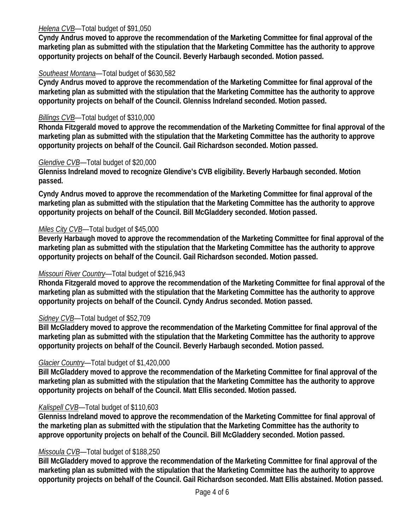### *Helena CVB*—Total budget of \$91,050

**Cyndy Andrus moved to approve the recommendation of the Marketing Committee for final approval of the marketing plan as submitted with the stipulation that the Marketing Committee has the authority to approve opportunity projects on behalf of the Council. Beverly Harbaugh seconded. Motion passed.**

### *Southeast Montana*—Total budget of \$630,582

**Cyndy Andrus moved to approve the recommendation of the Marketing Committee for final approval of the marketing plan as submitted with the stipulation that the Marketing Committee has the authority to approve opportunity projects on behalf of the Council. Glenniss Indreland seconded. Motion passed.**

### *Billings CVB*—Total budget of \$310,000

**Rhonda Fitzgerald moved to approve the recommendation of the Marketing Committee for final approval of the marketing plan as submitted with the stipulation that the Marketing Committee has the authority to approve opportunity projects on behalf of the Council. Gail Richardson seconded. Motion passed.**

#### *Glendive CVB*—Total budget of \$20,000

**Glenniss Indreland moved to recognize Glendive's CVB eligibility. Beverly Harbaugh seconded. Motion passed.** 

**Cyndy Andrus moved to approve the recommendation of the Marketing Committee for final approval of the marketing plan as submitted with the stipulation that the Marketing Committee has the authority to approve opportunity projects on behalf of the Council. Bill McGladdery seconded. Motion passed.**

### *Miles City CVB*—Total budget of \$45,000

**Beverly Harbaugh moved to approve the recommendation of the Marketing Committee for final approval of the marketing plan as submitted with the stipulation that the Marketing Committee has the authority to approve opportunity projects on behalf of the Council. Gail Richardson seconded. Motion passed.**

#### *Missouri River Country*—Total budget of \$216,943

**Rhonda Fitzgerald moved to approve the recommendation of the Marketing Committee for final approval of the marketing plan as submitted with the stipulation that the Marketing Committee has the authority to approve opportunity projects on behalf of the Council. Cyndy Andrus seconded. Motion passed.**

#### *Sidney CVB*—Total budget of \$52,709

**Bill McGladdery moved to approve the recommendation of the Marketing Committee for final approval of the marketing plan as submitted with the stipulation that the Marketing Committee has the authority to approve opportunity projects on behalf of the Council. Beverly Harbaugh seconded. Motion passed.**

#### *Glacier Country*—Total budget of \$1,420,000

**Bill McGladdery moved to approve the recommendation of the Marketing Committee for final approval of the marketing plan as submitted with the stipulation that the Marketing Committee has the authority to approve opportunity projects on behalf of the Council. Matt Ellis seconded. Motion passed.**

#### *Kalispell CVB*—Total budget of \$110,603

**Glenniss Indreland moved to approve the recommendation of the Marketing Committee for final approval of the marketing plan as submitted with the stipulation that the Marketing Committee has the authority to approve opportunity projects on behalf of the Council. Bill McGladdery seconded. Motion passed.**

#### *Missoula CVB*—Total budget of \$188,250

**Bill McGladdery moved to approve the recommendation of the Marketing Committee for final approval of the marketing plan as submitted with the stipulation that the Marketing Committee has the authority to approve opportunity projects on behalf of the Council. Gail Richardson seconded. Matt Ellis abstained. Motion passed.**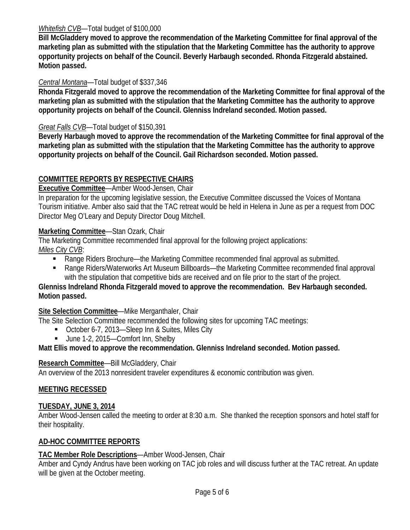### *Whitefish CVB*—Total budget of \$100,000

**Bill McGladdery moved to approve the recommendation of the Marketing Committee for final approval of the marketing plan as submitted with the stipulation that the Marketing Committee has the authority to approve opportunity projects on behalf of the Council. Beverly Harbaugh seconded. Rhonda Fitzgerald abstained. Motion passed.**

## *Central Montana*—Total budget of \$337,346

**Rhonda Fitzgerald moved to approve the recommendation of the Marketing Committee for final approval of the marketing plan as submitted with the stipulation that the Marketing Committee has the authority to approve opportunity projects on behalf of the Council. Glenniss Indreland seconded. Motion passed.**

## *Great Falls CVB*—Total budget of \$150,391

**Beverly Harbaugh moved to approve the recommendation of the Marketing Committee for final approval of the marketing plan as submitted with the stipulation that the Marketing Committee has the authority to approve opportunity projects on behalf of the Council. Gail Richardson seconded. Motion passed.**

# **COMMITTEE REPORTS BY RESPECTIVE CHAIRS**

**Executive Committee**—Amber Wood-Jensen, Chair

In preparation for the upcoming legislative session, the Executive Committee discussed the Voices of Montana Tourism initiative. Amber also said that the TAC retreat would be held in Helena in June as per a request from DOC Director Meg O'Leary and Deputy Director Doug Mitchell.

## **Marketing Committee**—Stan Ozark, Chair

The Marketing Committee recommended final approval for the following project applications: *Miles City CVB*:

- Range Riders Brochure—the Marketing Committee recommended final approval as submitted.
- Range Riders/Waterworks Art Museum Billboards—the Marketing Committee recommended final approval with the stipulation that competitive bids are received and on file prior to the start of the project.

### **Glenniss Indreland Rhonda Fitzgerald moved to approve the recommendation. Bev Harbaugh seconded. Motion passed.**

#### **Site Selection Committee**—Mike Merganthaler, Chair

The Site Selection Committee recommended the following sites for upcoming TAC meetings:

- October 6-7, 2013—Sleep Inn & Suites, Miles City
- Uune 1-2, 2015—Comfort Inn, Shelby

## **Matt Ellis moved to approve the recommendation. Glenniss Indreland seconded. Motion passed.**

#### **Research Committee**—Bill McGladdery, Chair

An overview of the 2013 nonresident traveler expenditures & economic contribution was given.

## **MEETING RECESSED**

#### **TUESDAY, JUNE 3, 2014**

Amber Wood-Jensen called the meeting to order at 8:30 a.m. She thanked the reception sponsors and hotel staff for their hospitality.

#### **AD-HOC COMMITTEE REPORTS**

## **TAC Member Role Descriptions**—Amber Wood-Jensen, Chair

Amber and Cyndy Andrus have been working on TAC job roles and will discuss further at the TAC retreat. An update will be given at the October meeting.